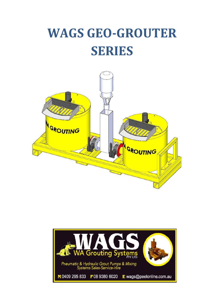# **WAGS GEO-GROUTER SERIES**



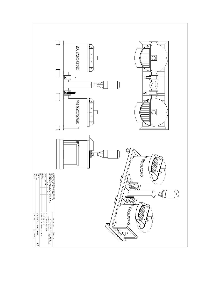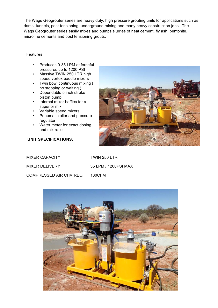The Wags Geogrouter series are heavy duty, high pressure grouting units for applications such as dams, tunnels, post-tensioning, underground mining and many heavy construction jobs. The Wags Geogrouter series easily mixes and pumps slurries of neat cement, fly ash, bentonite, microfine cements and post tensioning grouts.

#### Features

- Produces 0-35 LPM at forceful pressures up to 1200 PSI
- Massive TWIN 250 LTR high speed vortex paddle mixers
- Twin bowl continuous mixing ( no stopping or waiting )
- Dependable 5 inch stroke piston pump
- Internal mixer baffles for a superior mix
- Variable speed mixers
- Pneumatic oiler and pressure regulator
- Water meter for exact dosing and mix ratio



#### **UNIT SPECIFICATIONS:**

| <b>MIXER CAPACITY</b>  | TWIN 250 LTR         |
|------------------------|----------------------|
| MIXER DELIVERY         | 35 LPM / 1200PSI MAX |
| COMPRESSED AIR CFM REQ | 180CFM               |

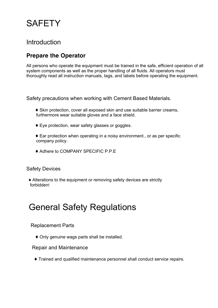## **SAFETY**

## Introduction

## **Prepare the Operator**

All persons who operate the equipment must be trained in the safe, efficient operation of all system components as well as the proper handling of all fluids. All operators must thoroughly read all instruction manuals, tags, and labels before operating the equipment.

Safety precautions when working with Cement Based Materials.

- ♦ Skin protection, cover all exposed skin and use suitable barrier creams, furthermore wear suitable gloves and a face shield.
- ♦ Eye protection, wear safety glasses or goggles.
- ♦ Ear protection when operating in a noisy environment., or as per specific company policy.
- ♦ Adhere to COMPANY SPECIFIC P.P.E

### Safety Devices

 ♦ Alterations to the equipment or removing safety devices are strictly forbidden!

## General Safety Regulations

### Replacement Parts

♦ Only genuine wags parts shall be installed.

#### Repair and Maintenance

♦ Trained and qualified maintenance personnel shall conduct service repairs.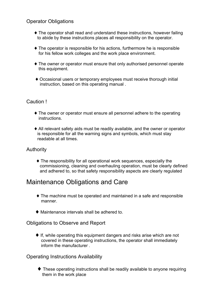### Operator Obligations

- ♦ The operator shall read and understand these instructions, however failing to abide by these instructions places all responsibility on the operator.
- $\blacklozenge$  The operator is responsible for his actions, furthermore he is responsible for his fellow work colleges and the work place environment.
- ♦ The owner or operator must ensure that only authorised personnel operate this equipment.
- ♦ Occasional users or temporary employees must receive thorough initial instruction, based on this operating manual .

### Caution !

- ♦ The owner or operator must ensure all personnel adhere to the operating instructions.
- ♦ All relevant safety aids must be readily available, and the owner or operator is responsible for all the warning signs and symbols, which must stay readable at all times.

### Authority

 ♦ The responsibility for all operational work sequences, especially the commissioning, cleaning and overhauling operation, must be clearly defined and adhered to, so that safety responsibility aspects are clearly regulated

## Maintenance Obligations and Care

- ♦ The machine must be operated and maintained in a safe and responsible manner.
- ♦ Maintenance intervals shall be adhered to.

#### Obligations to Observe and Report

 ♦ If, while operating this equipment dangers and risks arise which are not covered in these operating instructions, the operator shall immediately inform the manufacturer .

Operating Instructions Availability

 ♦ These operating instructions shall be readily available to anyone requiring them in the work place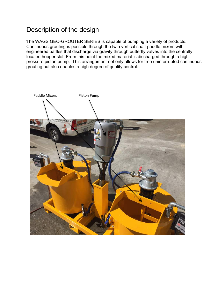## Description of the design

Τhe WAGS GEO-GROUTER SERIES is capable of pumping a variety of products. Continuous grouting is possible through the twin vertical shaft paddle mixers with engineered baffles that discharge via gravity through butterfly valves into the centrally located hopper slot. From this point the mixed material is discharged through a highpressure piston pump. This arrangement not only allows for free uninterrupted continuous grouting but also enables a high degree of quality control.

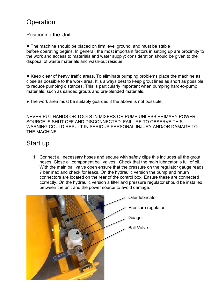## **Operation**

### Positioning the Unit

♦ The machine should be placed on firm level ground, and must be stable before operating begins. In general, the most important factors in setting up are proximity to the work and access to materials and water supply; consideration should be given to the disposal of waste materials and wash-out residue.

♦ Keep clear of heavy traffic areas, To eliminate pumping problems place the machine as close as possible to the work area. It is always best to keep grout lines as short as possible to reduce pumping distances. This is particularly important when pumping hard-to-pump materials, such as sanded grouts and pre-blended materials.

♦ The work area must be suitably guarded if the above is not possible.

NEVER PUT HANDS OR TOOLS IN MIXERS OR PUMP UNLESS PRIMARY POWER SOURCE IS SHUT OFF AND DISCONNECTED. FAILURE TO OBSERVE THIS WARNING COULD RESULT IN SERIOUS PERSONAL INJURY AND/OR DAMAGE TO THE MACHINE.

## Start up

 1. Connect all necessary hoses and secure with safety clips this includes all the grout hoses. Close all component ball valves . Check that the main lubricator is full of oil. With the main ball valve open ensure that the pressure on the regulator gauge reads 7 bar max and check for leaks. On the hydraulic version the pump and return connectors are located on the rear of the control box. Ensure these are connected correctly. On the hydraulic version a filter and pressure regulator should be installed between the unit and the power source to avoid damage.

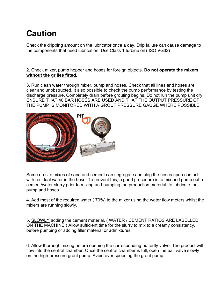## **Caution**

Check the dripping amount on the lubricator once a day. Drip failure can cause damage to the components that need lubrication. Use Class 1 turbine oil ( ISO VG32)

#### 2. Check mixer, pump hopper and hoses for foreign objects. **Do not operate the mixers without the grilles fitted.**

3. Run clean water through mixer, pump and hoses. Check that all lines and hoses are clear and unobstructed. It also possible to check the pump performance by testing the discharge pressure. Completely drain before grouting begins. Do not run the pump unit dry. ENSURE THAT 40 BAR HOSES ARE USED AND THAT THE OUTPUT PRESSURE OF THE PUMP IS MONITORED WITH A GROUT PRESSURE GAUGE WHERE POSSIBLE.



Some on-site mixes of sand and cement can segregate and clog the hoses upon contact with residual water in the hose. To prevent this, a good procedure is to mix and pump out a cement/water slurry prior to mixing and pumping the production material, to lubricate the pump and hoses.

4. Add most of the required water ( 70%) to the mixer using the water flow meters whilst the mixers are running slowly.

5. SLOWLY adding the cement material. ( WATER / CEMENT RATIOS ARE LABELLED ON THE MACHINE ) Allow sufficient time for the slurry to mix to a creamy consistency, before pumping or adding filler material or admixtures.

6. Allow thorough mixing before opening the corresponding butterfly valve. The product will flow into the central chamber. Once the central chamber is full, open the ball valve slowly on the high-pressure grout pump. Avoid over speeding the grout pump.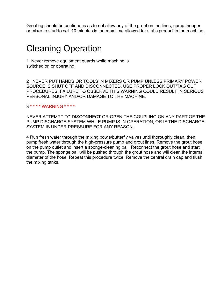Grouting should be continuous as to not allow any of the grout on the lines, pump, hopper or mixer to start to set. 10 minutes is the max time allowed for static product in the machine.

## Cleaning Operation

1 Never remove equipment guards while machine is switched on or operating.

2 NEVER PUT HANDS OR TOOLS IN MIXERS OR PUMP UNLESS PRIMARY POWER SOURCE IS SHUT OFF AND DISCONNECTED. USE PROPER LOCK OUT/TAG OUT PROCEDURES. FAILURE TO OBSERVE THIS WARNING COULD RESULT IN SERIOUS PERSONAL INJURY AND/OR DAMAGE TO THE MACHINE.

3 \* \* \* \* WARNING \* \* \* \*

NEVER ATTEMPT TO DISCONNECT OR OPEN THE COUPLING ON ANY PART OF THE PUMP DISCHARGE SYSTEM WHILE PUMP IS IN OPERATION, OR IF THE DISCHARGE SYSTEM IS UNDER PRESSURE FOR ANY REASON.

4 Run fresh water through the mixing bowls/butterfly valves until thoroughly clean, then pump fresh water through the high-pressure pump and grout lines. Remove the grout hose on the pump outlet and insert a sponge-cleaning ball. Reconnect the grout hose and start the pump. The sponge ball will be pushed through the grout hose and will clean the internal diameter of the hose. Repeat this procedure twice. Remove the central drain cap and flush the mixing tanks.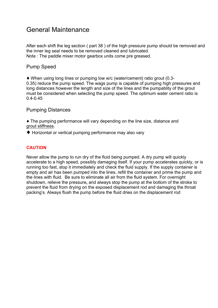## General Maintenance

After each shift the leg section ( part 38 ) of the high pressure pump should be removed and the inner leg seal needs to be removed cleaned and lubricated. Note : The paddle mixer motor gearbox units come pre greased.

### Pump Speed

♦ When using long lines or pumping low w/c (water/cement) ratio grout (0.3- 0.35) reduce the pump speed. The wags pump is capable of pumping high pressures and long distances however the length and size of the lines and the pumpablity of the grout must be considered when selecting the pump speed. The optimum water cement ratio is 0.4-0.45

### Pumping Distances

♦ The pumping performance will vary depending on the line size, distance and grout stiffness.

♦ Horizontal or vertical pumping performance may also vary

#### **CAUTION**

Never allow the pump to run dry of the fluid being pumped. A dry pump will quickly accelerate to a high speed, possibly damaging itself. If your pump accelerates quickly, or is running too fast, stop it immediately and check the fluid supply. If the supply container is empty and air has been pumped into the lines, refill the container and prime the pump and the lines with fluid. Be sure to eliminate all air from the fluid system. For overnight shutdown, relieve the pressure**,** and always stop the pump at the bottom of the stroke to prevent the fluid from drying on the exposed displacement rod and damaging the throat packing's. Always flush the pump before the fluid dries on the displacement rod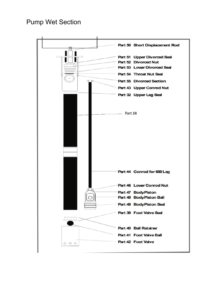## Pump Wet Section

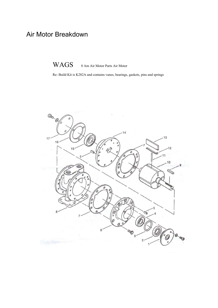## Air Motor Breakdown

WAGS 8 Am Air Motor Parts Air Motor

Re- Build Kit is K282A and contains vanes, bearings, gaskets, pins and springs